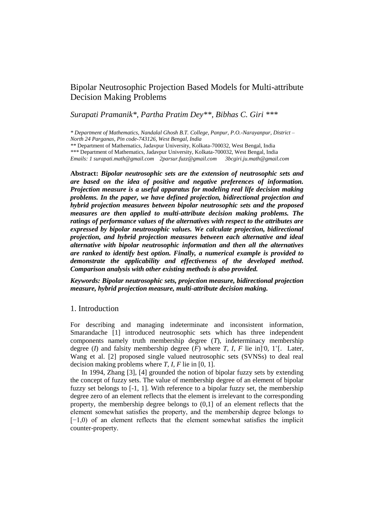# Bipolar Neutrosophic Projection Based Models for Multi-attribute Decision Making Problems

# *Surapati Pramanik\*, Partha Pratim Dey\*\*, Bibhas C. Giri \*\*\**

*\* Department of Mathematics, Nandalal Ghosh B.T. College, Panpur, P.O.-Narayanpur, District – North 24 Parganas, Pin code-743126, West Bengal, India \*\** Department of Mathematics, Jadavpur University, Kolkata-700032, West Bengal, India

*\*\*\** Department of Mathematics, Jadavpur University, Kolkata-700032, West Bengal, India *Emails: 1 surapati.math@gmail.com 2parsur.fuzz@gmail.com 3bcgiri.ju.math@gmail.com*

**Abstract:** *Bipolar neutrosophic sets are the extension of neutrosophic sets and are based on the idea of positive and negative preferences of information. Projection measure is a useful apparatus for modeling real life decision making problems. In the paper, we have defined projection, bidirectional projection and hybrid projection measures between bipolar neutrosophic sets and the proposed measures are then applied to multi-attribute decision making problems. The ratings of performance values of the alternatives with respect to the attributes are expressed by bipolar neutrosophic values. We calculate projection, bidirectional projection, and hybrid projection measures between each alternative and ideal alternative with bipolar neutrosophic information and then all the alternatives are ranked to identify best option. Finally, a numerical example is provided to demonstrate the applicability and effectiveness of the developed method. Comparison analysis with other existing methods is also provided.*

*Keywords: Bipolar neutrosophic sets, projection measure, bidirectional projection measure, hybrid projection measure, multi-attribute decision making.*

#### 1. Introduction

For describing and managing indeterminate and inconsistent information, Smarandache [1] introduced neutrosophic sets which has three independent components namely truth membership degree (*T*), indeterminacy membership degree (*I*) and falsity membership degree (*F*) where *T*, *I*, *F* lie in<sup>[10]</sup>, 1<sup>+</sup>[. Later, Wang et al. [2] proposed single valued neutrosophic sets (SVNSs) to deal real decision making problems where *T*, *I*, *F* lie in [0, 1].

In 1994, Zhang [3], [4] grounded the notion of bipolar fuzzy sets by extending the concept of fuzzy sets. The value of membership degree of an element of bipolar fuzzy set belongs to [-1, 1]. With reference to a bipolar fuzzy set, the membership degree zero of an element reflects that the element is irrelevant to the corresponding property, the membership degree belongs to (0,1] of an element reflects that the element somewhat satisfies the property, and the membership degree belongs to  $[-1,0)$  of an element reflects that the element somewhat satisfies the implicit counter-property.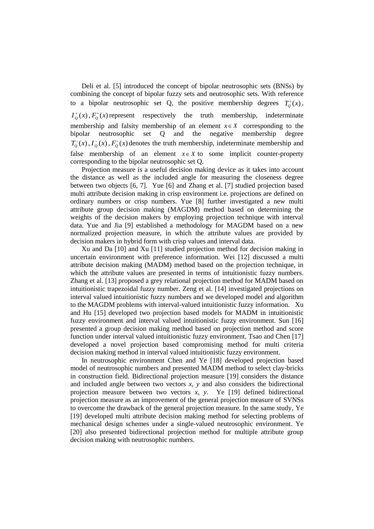Deli et al. [5] introduced the concept of bipolar neutrosophic sets (BNSs) by combining the concept of bipolar fuzzy sets and neutrosophic sets. With reference to a bipolar neutrosophic set Q, the positive membership degrees  $T_Q^+(x)$ ,  $I_{\rho}^{+}(x)$ ,  $F_{\rho}^{+}(x)$  represent respectively the truth membership, indeterminate membership and falsity membership of an element  $x \in X$  corresponding to the bipolar neutrosophic set Q and the negative membership degree  $T_Q^-(x)$ ,  $T_Q^-(x)$ ,  $F_Q^-(x)$  denotes the truth membership, indeterminate membership and false membership of an element  $x \in X$  to some implicit counter-property corresponding to the bipolar neutrosophic set Q.

Projection measure is a useful decision making device as it takes into account the distance as well as the included angle for measuring the closeness degree between two objects [6, 7]. Yue [6] and Zhang et al. [7] studied projection based multi attribute decision making in crisp environment i.e. projections are defined on ordinary numbers or crisp numbers. Yue [8] further investigated a new multi attribute group decision making (MAGDM) method based on determining the weights of the decision makers by employing projection technique with interval data. Yue and Jia [9] established a methodology for MAGDM based on a new normalized projection measure, in which the attribute values are provided by decision makers in hybrid form with crisp values and interval data.

Xu and Da [10] and Xu [11] studied projection method for decision making in uncertain environment with preference information. Wei [12] discussed a multi attribute decision making (MADM) method based on the projection technique, in which the attribute values are presented in terms of intuitionistic fuzzy numbers. Zhang et al. [13] proposed a grey relational projection method for MADM based on intuitionistic trapezoidal fuzzy number. Zeng et al. [14] investigated projections on interval valued intuitionistic fuzzy numbers and we developed model and algorithm to the MAGDM problems with interval-valued intuitionistic fuzzy information. Xu and Hu [15] developed two projection based models for MADM in intuitionistic fuzzy environment and interval valued intuitionistic fuzzy environment. Sun [16] presented a group decision making method based on projection method and score function under interval valued intuitionistic fuzzy environment. Tsao and Chen [17] developed a novel projection based compromising method for multi criteria decision making method in interval valued intuitionistic fuzzy environment.

In neutrosophic environment Chen and Ye [18] developed projection based model of neutrosophic numbers and presented MADM method to select clay-bricks in construction field. Bidirectional projection measure [19] considers the distance and included angle between two vectors *x, y* and also considers the bidirectional projection measure between two vectors *x, y.* Ye [19] defined bidirectional projection measure as an improvement of the general projection measure of SVNSs to overcome the drawback of the general projection measure. In the same study, Ye [19] developed multi attribute decision making method for selecting problems of mechanical design schemes under a single-valued neutrosophic environment. Ye [20] also presented bidirectional projection method for multiple attribute group decision making with neutrosophic numbers.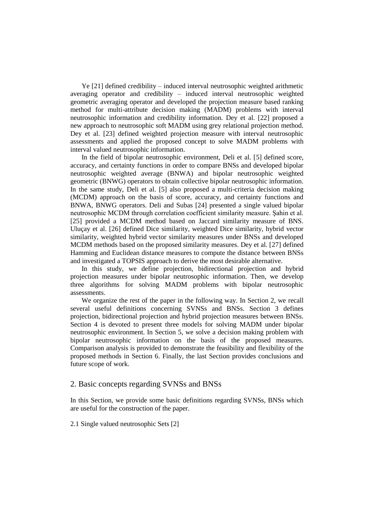Ye [21] defined credibility – induced interval neutrosophic weighted arithmetic averaging operator and credibility – induced interval neutrosophic weighted geometric averaging operator and developed the projection measure based ranking method for multi-attribute decision making (MADM) problems with interval neutrosophic information and credibility information. Dey et al. [22] proposed a new approach to neutrosophic soft MADM using grey relational projection method. Dey et al. [23] defined weighted projection measure with interval neutrosophic assessments and applied the proposed concept to solve MADM problems with interval valued neutrosophic information.

In the field of bipolar neutrosophic environment, Deli et al. [5] defined score, accuracy, and certainty functions in order to compare BNSs and developed bipolar neutrosophic weighted average (BNWA) and bipolar neutrosophic weighted geometric (BNWG) operators to obtain collective bipolar neutrosophic information. In the same study, Deli et al. [5] also proposed a multi-criteria decision making (MCDM) approach on the basis of score, accuracy, and certainty functions and BNWA, BNWG operators. Deli and Subas [24] presented a single valued bipolar neutrosophic MCDM through correlation coefficient similarity measure. Şahin et al. [25] provided a MCDM method based on Jaccard similarity measure of BNS. Uluçay et al. [26] defined Dice similarity, weighted Dice similarity, hybrid vector similarity, weighted hybrid vector similarity measures under BNSs and developed MCDM methods based on the proposed similarity measures. Dey et al. [27] defined Hamming and Euclidean distance measures to compute the distance between BNSs and investigated a TOPSIS approach to derive the most desirable alternative.

In this study, we define projection, bidirectional projection and hybrid projection measures under bipolar neutrosophic information. Then, we develop three algorithms for solving MADM problems with bipolar neutrosophic assessments.

We organize the rest of the paper in the following way. In Section 2, we recall several useful definitions concerning SVNSs and BNSs. Section 3 defines projection, bidirectional projection and hybrid projection measures between BNSs. Section 4 is devoted to present three models for solving MADM under bipolar neutrosophic environment. In Section 5, we solve a decision making problem with bipolar neutrosophic information on the basis of the proposed measures. Comparison analysis is provided to demonstrate the feasibility and flexibility of the proposed methods in Section 6. Finally, the last Section provides conclusions and future scope of work.

## 2. Basic concepts regarding SVNSs and BNSs

In this Section, we provide some basic definitions regarding SVNSs, BNSs which are useful for the construction of the paper.

2.1 Single valued neutrosophic Sets [2]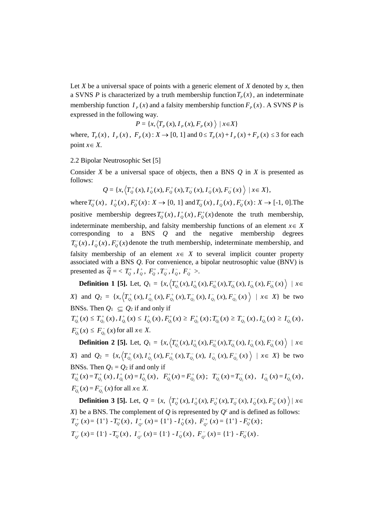Let *X* be a universal space of points with a generic element of *X* denoted by *x*, then a SVNS *P* is characterized by a truth membership function  $T_p(x)$ , an indeterminate membership function  $I_p(x)$  and a falsity membership function  $F_p(x)$ . A SVNS *P* is expressed in the following way.

$$
P = \{x, \langle T_p(x), I_p(x), F_p(x) \rangle \mid x \in X\}
$$

where,  $T_p(x)$ ,  $I_p(x)$ ,  $F_p(x)$ :  $X \rightarrow [0, 1]$  and  $0 \le T_p(x) + I_p(x) + F_p(x) \le 3$  for each point  $x \in X$ .

2.2 Bipolar Neutrosophic Set [5]

Consider *X* be a universal space of objects, then a BNS *Q* in *X* is presented as follows:

$$
Q = \{x, \left\langle T_Q^+(x), I_Q^+(x), F_Q^+(x), T_Q^-(x), I_Q^-(x), F_Q^-(x) \right\rangle \mid x \in X\},\
$$

where  $T_0^+(x)$ ,  $I_0^+(x)$ ,  $F_0^+(x)$ :  $X \to [0, 1]$  and  $T_0^-(x)$ ,  $I_0^-(x)$ ,  $F_0^-(x)$ :  $X \to [-1, 0]$ . The positive membership degrees  $T_Q^+(x)$ ,  $T_Q^+(x)$ ,  $F_Q^+(x)$  denote the truth membership, indeterminate membership, and falsity membership functions of an element  $x \in X$ corresponding to a BNS *Q* and the negative membership degrees  $T_Q^-(x)$ ,  $I_Q^-(x)$ ,  $F_Q^-(x)$  denote the truth membership, indeterminate membership, and falsity membership of an element  $x \in X$  to several implicit counter property associated with a BNS *Q*. For convenience, a bipolar neutrosophic value (BNV) is presented as  $\tilde{q} = \langle T_{Q}^{+}, \tilde{I}_{Q}^{+}, F_{Q}^{+}, T_{Q}^{-}, I_{Q}^{-}, F_{Q}^{-} \rangle$ .

**Definition 1 [5].** Let,  $Q_1 = \{x, (\overline{T}_{Q_1}^+(x), I_{Q_1}^+(x), F_{Q_1}^+(x), T_{Q_1}^-(x), I_{Q_1}^-(x), F_{Q_1}^-(x)) | x \in$ X} and  $Q_2 = \{x, (T_{Q_2}^+(x), T_{Q_2}^+(x), F_{Q_2}^+(x), T_{Q_2}^-(x), T_{Q_2}^-(x), F_{Q_2}^-(x)) \mid x \in X\}$  be two BNSs. Then  $Q_1 \subseteq Q_2$  if and only if  $T^+_{Q_1}(x) \leq T^+_{Q_2}(x)$ ,  $I^+_{Q_1}(x) \leq I^+_{Q_2}(x)$ ,  $F^+_{Q_1}(x) \geq F^+_{Q_2}(x)$ ;  $T^-_{Q_1}(x) \geq T^-_{Q_2}(x)$ ,  $I^-_{Q_1}(x) \geq I^-_{Q_2}(x)$ ,

$$
F_{Q_1}^{-}(x) \leq F_{Q_2}^{-}(x)
$$
 for all  $x \in X$ .

**Definition 2 [5].** Let,  $Q_1 = \{x, (\overline{T_{Q_1}^+(x)}, I_{Q_1}^+(x), F_{Q_1}^+(x), T_{Q_1}^-(x), I_{Q_1}^-(x), F_{Q_1}^-(x)) | x \in$ X} and  $Q_2 = \{x, (T_{Q_2}^+(x), T_{Q_2}^+(x), F_{Q_2}^+(x), T_{Q_2}^-(x), T_{Q_2}^-(x), F_{Q_2}^-(x)) \mid x \in X\}$  be two BNSs. Then  $Q_1 = Q_2$  if and only if

 $T_{Q_1}^+(x) = T_{Q_2}^+(x)$ ,  $I_{Q_1}^+(x) = I_{Q_2}^+(x)$ ,  $F_{Q_1}^+(x) = F_{Q_2}^+(x)$ ;  $T_{Q_1}^-(x) = T_{Q_2}^-(x)$ ,  $I_{Q_1}^-(x) = I_{Q_2}^-(x)$ ,  $F_{Q_1}^-(x) = F_{Q_2}^-(x)$  for all  $x \in X$ .

**Definition 3 [5].** Let,  $Q = \{x, \langle T_0^+(x), I_0^+(x), F_0^+(x), T_0^-(x), I_0^-(x), F_0^-(x) \rangle \mid x \in \mathbb{R} \}$ *X*} be a BNS. The complement of *Q* is represented by  $Q^c$  and is defined as follows:  $T_{\varrho^{\text{c}}}^{+}(x)$  $J_{Q^c}^+(x) = \{1^+\} - T_Q^+(x)$ ,  $I_{Q^c}^+(x)$  $I_{Q^c}^+(x) = \{1^+\} - I_Q^+(x)$ ,  $F_{Q^c}^+(x)$  $F_{2}^{+}(x) = \{1^{+}\} - F_{Q}^{+}(x)$ ;  $T_{Q^c}^-(x)$  $T_{Q}^{-}(x) = \{1^-\} - T_Q^{-}(x)$ ,  $T_{Q}^{-}(x)$  $I_{Q}^{C}(x) = \{1\} - I_{Q}^{-}(x), F_{Q^{C}}^{-}(x)$  $F_{2}^{-}(x) = \{1^-\} - F_{Q}^{-}(x)$ .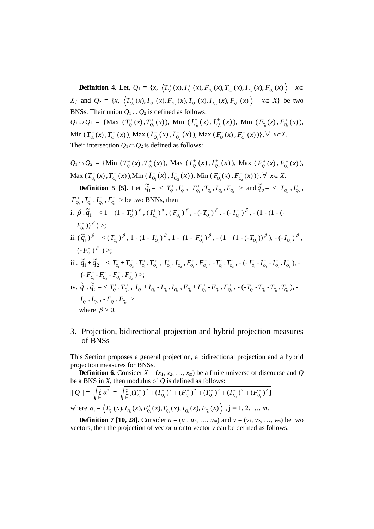**Definition 4.** Let,  $Q_1 = \{x, \langle T_{Q_1}^+(x), T_{Q_1}^+(x), F_{Q_1}^+(x), T_{Q_1}^-(x), T_{Q_1}^-(x), F_{Q_1}^-(x)\rangle \mid x \in$ X} and  $Q_2 = \{x, \langle T_{Q_2}^+(x), I_{Q_2}^+(x), F_{Q_2}^+(x), T_{Q_2}^-(x), I_{Q_2}^-(x), F_{Q_2}^-(x)\rangle \mid x \in X\}$  be two BNSs. Their union  $Q_1 \cup Q_2$  is defined as follows:  $Q_1 \cup Q_2 = \{ \text{Max } (T^+_{Q_1}(x), T^+_{Q_2}(x)), \text{ Min } (I^+_{Q_1}(x), I^+_{Q_2}(x)), \text{ Min } (F^+_{Q_1}(x), F^+_{Q_2}(x)), \}$ Min  $(T_{Q_1}^-(x), T_{Q_2}^-(x))$ , Max  $(T_{Q_1}^-(x), T_{Q_2}^-(x))$ , Max  $(F_{Q_1}^-(x), F_{Q_2}^-(x))$ ,  $\forall x \in X$ .

Their intersection  $Q_1 \cap Q_2$  is defined as follows:

 $Q_1 \cap Q_2 = \{ \text{Min } (T^+_{Q_1}(x), T^+_{Q_2}(x)), \text{ Max } (I^+_{Q_1}(x), I^+_{Q_2}(x)), \text{ Max } (F^+_{Q_1}(x), F^+_{Q_2}(x)), \}$ Max  $(T_{Q_1}^-(x), T_{Q_2}^-(x))$ , Min  $(T_{Q_1}^-(x), T_{Q_2}^-(x))$ , Min  $(F_{Q_1}^-(x), F_{Q_2}^-(x))$ ,  $\forall x \in X$ .

**Definition 5 [5].** Let  $\tilde{q}_1 = \langle T_{Q_1}^*, I_{Q_1}^*, F_{Q_1}^*, T_{Q_1}^-, I_{Q_1}^-, F_{Q_1}^- \rangle$  and  $\tilde{q}_2 = \langle T_{Q_2}^*, I_{Q_2}^*, T_{Q_2}^-, F_{Q_1}^+ \rangle$  $F_{Q_2}^+$ ,  $T_{Q_2}^-$ ,  $F_{Q_2}^-$  ,  $F_{Q_2}^-$  > be two BNNs, then i.  $\beta \cdot \widetilde{q}_1 = 2 - (1 - T_{\mathcal{Q}_1}^+)^{\beta}$ ,  $(T_{\mathcal{Q}_1}^+)^{\alpha}$ ,  $(F_{\mathcal{Q}_1}^+)^{\beta}$ ,  $-(-T_{\mathcal{Q}_1}^-)^{\beta}$ ,  $-(-T_{\mathcal{Q}_1}^-)^{\beta}$ ,  $-(-1 - (1 - T_{\mathcal{Q}_1}^-)^{\beta})$  $F_{\varrho_{_{\!1}}}^{\scriptscriptstyle{-}}$  ))  $^\beta$  ) >; ii.  $(\tilde{q}_1)^{\beta}$  = <  $(T_{Q_1}^{\dagger})^{\beta}$ , 1 -  $(1 - I_{Q_1}^{\dagger})^{\beta}$ , 1 -  $(1 - F_{Q_1}^{\dagger})^{\beta}$ , -  $(1 - (1 - (-T_{Q_1}^{\dagger}))^{\beta})$ , -  $(-I_{Q_1}^{\dagger})^{\beta}$ , (-  $F_{\mathcal{Q}_\text{i}}^{\text{--}}$  )  $^\beta$  )  $>$ ; iii.  $\widetilde{q}_1 + \widetilde{q}_2 = \, < T^+_{Q_1} + T^+_{Q_2} - T^+_{Q_1}$ ,  $T^+_{Q_2}$  ,  $I^+_{Q_1}$ ,  $I^+_{Q_2}$  ,  $F^+_{Q_1}$ ,  $F^-_{Q_2}$  ,  $T^-_{Q_1}$ ,  $T^-_{Q_2}$  ,  $(-I^-_{Q_1} - I^-_{Q_2} - I^-_{Q_1}$ ,  $I^-_{Q_2}$  ), - $(-F_{\mathcal{Q}_{1}}^{-}\textrm{-}F_{\mathcal{Q}_{2}}^{-}\textrm{-}F_{\mathcal{Q}_{1}}^{-}\textrm{-}F_{\mathcal{Q}_{2}}^{-}\textrm{-}F_{\mathcal{Q}_{2}}^{-}\textrm{-});$ iv.  $\widetilde{q}_1$ ,  $\widetilde{q}_2 = \langle T_{Q_1}^+, T_{Q_2}^+, I_{Q_1}^+, I_{Q_2}^-, I_{Q_1}^+, I_{Q_2}^+, F_{Q_1}^+, F_{Q_2}^-, F_{Q_1}^+, F_{Q_2}^+, -(-T_{Q_1}^-, T_{Q_2}^-, T_{Q_1}^-, T_{Q_2}^-), I_{\mathcal{Q}_1}^-\,.\, I_{\mathcal{Q}_2}^-$  , -  $F_{\mathcal{Q}_1}^-\,.\, F_{\mathcal{Q}_2}^-\,>$ where  $\beta > 0$ .

3. Projection, bidirectional projection and hybrid projection measures of BNSs

This Section proposes a general projection, a bidirectional projection and a hybrid projection measures for BNSs.

 **Definition 6.** Consider  $X = (x_1, x_2, \ldots, x_m)$  be a finite universe of discourse and *Q* be a BNS in *X*, then modulus of *Q* is defined as follows:

$$
\|Q\| = \sqrt{\sum_{j=1}^{m} \alpha_j^2} = \sqrt{\sum_{j=1}^{m} [(T_{Q_j}^+)^2 + (T_{Q_j}^+)^2 + (F_{Q_j}^+)^2 + (T_{Q_j}^-)^2 + (T_{Q_j}^-)^2 + (F_{Q_j}^-)^2]}
$$
  
where  $\alpha_j = \langle T_{Q_j}^+(x), T_{Q_j}^+(x), F_{Q_j}^+(x), T_{Q_j}^-(x), T_{Q_j}^-(x), F_{Q_j}^-(x) \rangle$ ,  $j = 1, 2, ..., m$ .

 **Definition 7 [10, 28].** Consider  $u = (u_1, u_2, ..., u_m)$  and  $v = (v_1, v_2, ..., v_m)$  be two vectors, then the projection of vector *u* onto vector *v* can be defined as follows: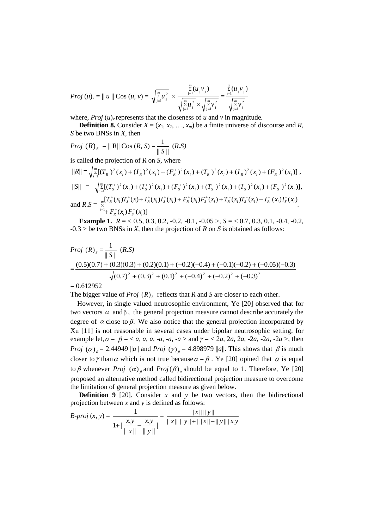*Proj* 
$$
(u)_v = || u || \text{Cos}(u, v) = \sqrt{\sum_{j=1}^{m} u_j^2} \times \frac{\sum_{j=1}^{m} (u_j v_j)}{\sqrt{\sum_{j=1}^{m} u_j^2} \times \sqrt{\sum_{j=1}^{m} v_j^2}} = \frac{\sum_{j=1}^{m} (u_j v_j)}{\sqrt{\sum_{j=1}^{m} v_j^2}}
$$

where, *Proj*  $(u)$ <sup>*v*</sup> represents that the closeness of *u* and *v* in magnitude.

 **Definition 8.** Consider  $X = (x_1, x_2, \ldots, x_m)$  be a finite universe of discourse and *R*, *S* be two BNSs in *X*, then

*Proj* 
$$
(R)
$$
<sub>S</sub> =  $||R||$  Cos  $(R, S) = \frac{1}{||S||}$   $(R.S)$ 

is called the projection of *R* on *S*, where

$$
||R|| = \sqrt{\sum_{i=1}^{m} [(T_{R}^{+})^{2}(x_{i}) + (I_{R}^{+})^{2}(x_{i}) + (F_{R}^{+})^{2}(x_{i}) + (T_{R}^{-})^{2}(x_{i}) + (I_{R}^{-})^{2}(x_{i}) + (F_{R}^{-})^{2}(x_{i})],
$$
  
\n
$$
||S|| = \sqrt{\sum_{i=1}^{m} [(T_{S}^{+})^{2}(x_{i}) + (I_{S}^{+})^{2}(x_{i}) + (F_{S}^{+})^{2}(x_{i}) + (T_{S}^{-})^{2}(x_{i}) + (I_{S}^{-})^{2}(x_{i}) + (F_{S}^{-})^{2}(x_{i})],
$$
  
\nand 
$$
R.S = \sum_{i=1}^{m} [T_{R}^{+}(x_{i})T_{S}^{+}(x) + I_{R}^{+}(x_{i})I_{S}^{+}(x_{i}) + F_{R}^{+}(x_{i})F_{S}^{+}(x_{i}) + T_{R}^{-}(x_{i})T_{S}^{-}(x_{i}) + I_{R}^{-}(x_{i})I_{S}^{-}(x_{i})].
$$

**Example 1.**  $R = 0.5, 0.3, 0.2, -0.2, -0.1, -0.05 > 0.5 < 0.7, 0.3, 0.1, -0.4, -0.2$ -0.3 > be two BNSs in *X*, then the projection of *R* on *S* is obtained as follows:

$$
Proj (R)_{s} = \frac{1}{\|S\|} (R.S)
$$
  
= 
$$
\frac{(0.5)(0.7) + (0.3)(0.3) + (0.2)(0.1) + (-0.2)(-0.4) + (-0.1)(-0.2) + (-0.05)(-0.3)}{\sqrt{(0.7)^{2} + (0.3)^{2} + (0.1)^{2} + (-0.4)^{2} + (-0.2)^{2} + (-0.3)^{2}}}
$$

 $= 0.612952$ 

The bigger value of  $Proj(R)_{s}$  reflects that  $R$  and  $S$  are closer to each other.

 However, in single valued neutrosophic environment, Ye [20] observed that for two vectors  $\alpha$  and  $\beta$ , the general projection measure cannot describe accurately the degree of  $\alpha$  close to  $\beta$ . We also notice that the general projection incorporated by Xu [11] is not reasonable in several cases under bipolar neutrosophic setting, for example let,  $\alpha = \beta = \langle a, a, a, -a, -a, -a \rangle$  and  $\gamma = \langle 2a, 2a, 2a, -2a, -2a, -2a \rangle$ , then *Proj*  $(\alpha)_{\beta} = 2.44949$  ||*a*|| and *Proj*  $(\gamma)_{\beta} = 4.898979$  ||*a*||. This shows that  $\beta$  is much closer to  $\gamma$  than  $\alpha$  which is not true because  $\alpha = \beta$ . Ye [20] opined that  $\alpha$  is equal to  $\beta$  whenever *Proj*  $(\alpha)$  and *Proj* $(\beta)$  should be equal to 1. Therefore, Ye [20] proposed an alternative method called bidirectional projection measure to overcome the limitation of general projection measure as given below.

**Definition 9** [20]. Consider  $x$  and  $y$  be two vectors, then the bidirectional projection between *x* and *y* is defined as follows:

$$
B\text{-}proj(x, y) = \frac{1}{1 + \left|\frac{x \cdot y}{\|x\|} - \frac{x \cdot y}{\|y\|}\right|} = \frac{\|x\| \|y\|}{\|x\| \|y\| + \|\|x\| - \|y\|\|x\|}
$$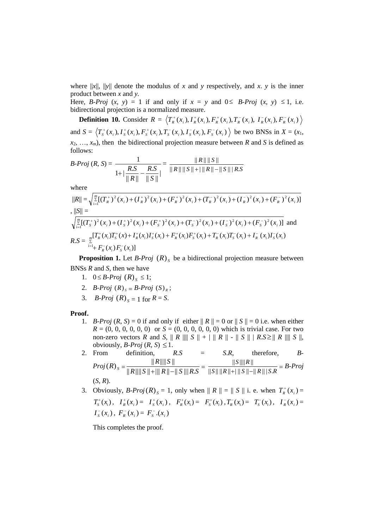where  $||x||$ ,  $||y||$  denote the modulus of x and y respectively, and x, y is the inner product between *x* and *y.*

Here, *B-Proj*  $(x, y) = 1$  if and only if  $x = y$  and  $0 \le B$ -*Proj*  $(x, y) \le 1$ , i.e. bidirectional projection is a normalized measure.

**Definition 10.** Consider  $R = \langle T_R^+(x_i), I_R^+(x_i), F_R^+(x_i), T_R^-(x_i), I_R^-(x_i), F_R^-(x_i) \rangle$ and  $S = \langle T_s^+(x_i), I_s^+(x_i), F_s^+(x_i), T_s^-(x_i), I_s^-(x_i), F_s^-(x_i) \rangle$  be two BNSs in  $X = (x_1, x_2, \dots, x_n)$  $x_2, \ldots, x_m$ , then the bidirectional projection measure between *R* and *S* is defined as follows:

$$
B\text{-}Proj (R, S) = \frac{1}{1 + |\frac{R.S}{\|R\|} - \frac{R.S}{\|S\|}|} = \frac{\|R\| \|S\|}{\|R\| \|S\| + \|\|R\| - \|S\|\| R.S}
$$

where

$$
||R|| = \sqrt{\sum_{i=1}^{m} [(T_{R}^{+})^{2}(x_{i}) + (T_{R}^{+})^{2}(x_{i}) + (T_{R}^{-})^{2}(x_{i}) + (T_{R}^{-})^{2}(x_{i}) + (T_{R}^{-})^{2}(x_{i}) + (F_{R}^{-})^{2}(x_{i})]}
$$
  
\n
$$
||S|| = \sqrt{\sum_{i=1}^{m} [(T_{S}^{+})^{2}(x_{i}) + (T_{S}^{+})^{2}(x_{i}) + (F_{S}^{+})^{2}(x_{i}) + (T_{S}^{-})^{2}(x_{i}) + (T_{S}^{-})^{2}(x_{i}) + (F_{S}^{-})^{2}(x_{i})]}
$$
 and  
\n
$$
R.S = \sum_{i=1}^{m} [T_{R}^{+}(x_{i})T_{S}^{+}(x) + T_{R}^{+}(x_{i})T_{S}^{+}(x_{i}) + F_{R}^{+}(x_{i})F_{S}^{+}(x_{i}) + T_{R}^{-}(x_{i})T_{S}^{-}(x_{i}) + T_{R}^{-}(x_{i})T_{S}^{-}(x_{i})
$$

**Proposition 1.** Let *B***-***Proj*  $(R)_{s}$  be a bidirectional projection measure between BNSs *R* and *S*, then we have

- 1.  $0 \leq B \text{-} Proj (R)_{S} \leq 1;$
- 2. *B-Proj*  $(R)_{s} = B$ *-Proj*  $(S)_{R}$ ;
- 3. *B-Proj*  $(R)_{s} = 1$  for  $R = S$ .

#### **Proof.**

1. *B-Proj*  $(R, S) = 0$  if and only if either  $|| R || = 0$  or  $|| S || = 0$  i.e. when either  $R = (0, 0, 0, 0, 0, 0)$  or  $S = (0, 0, 0, 0, 0, 0)$  which is trivial case. For two non-zero vectors *R* and *S*,  $\parallel$  *R*  $\parallel$  $\parallel$  *S*  $\parallel$  +  $\parallel$   $\parallel$  *R*  $\parallel$  -  $\parallel$  *S*  $\parallel$  *R*  $\parallel$  $\parallel$  *S*  $\parallel$ , obviously, *B-Proj*  $(R, S) \leq 1$ .

2. From definition, 
$$
R.S = S.R
$$
, therefore,  $B-Proj(R)_{S} = \frac{||R|| ||S||}{||R|| ||S|| + ||R|| - ||S|| ||R.S} = \frac{||S|| ||R||}{||S|| ||R|| + ||S|| - ||R|| ||S.R} = B-Proj(S, R).$ 

3. Obviously, 
$$
B\text{-}Proj(R)_s = 1
$$
, only when  $||R|| = ||S||$  i. e. when  $T_R^+(x_i) = T_S^+(x_i)$ ,  $I_R^+(x_i) = I_S^+(x_i)$ ,  $F_R^+(x_i) = F_S^+(x_i)$ ,  $T_R^-(x_i) = T_S^-(x_i)$ ,  $I_R^-(x_i) = I_S^-(x_i)$ ,  $F_R^-(x_i) = F_S^-(x_i)$ 

This completes the proof.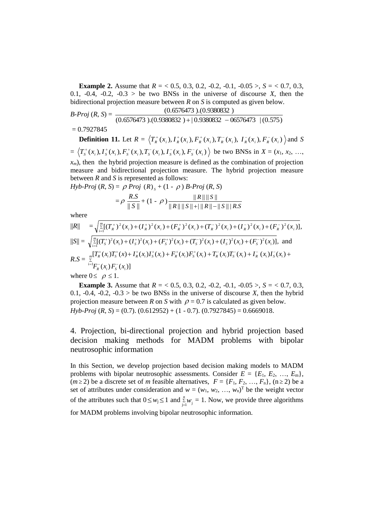**Example 2.** Assume that  $R = 0.5, 0.3, 0.2, -0.2, -0.1, -0.05 > 0.5 < 0.7, 0.3$ , 0.1,  $-0.4$ ,  $-0.2$ ,  $-0.3$  > be two BNSs in the universe of discourse *X*, then the bidirectional projection measure between *R* on *S* is computed as given below.

*B-Proj* (*R*, *S*) =  $(0.6576473)$ . $(0.9380832)$  +  $(0.9380832 - 06576473)$   $(0.575)$ (0.6576473 ).(0.9380832 )

## $= 0.7927845$

**Definition 11.** Let  $R = \langle T_R^+(x_i), I_R^+(x_i), F_R^+(x_i), T_R^-(x_i), I_R^-(x_i), F_R^-(x_i) \rangle$  and S  $=\langle T_s^+(x_i), I_s^+(x_i), F_s^+(x_i), T_s^-(x_i), I_s^-(x_i), F_s^-(x_i) \rangle$  be two BNSs in  $X = (x_1, x_2, ..., x_n)$  $x_m$ ), then the hybrid projection measure is defined as the combination of projection measure and bidirectional projection measure. The hybrid projection measure between *R* and *S* is represented as follows:  $Hyb$ - $F$ 

$$
Proj (R, S) = \rho \, Proj (R)_{s} + (1 - \rho) \, B \cdot Proj (R, S)
$$
\n
$$
= \rho \, \frac{R.S}{\|S\|} + (1 - \rho) \frac{\|R\| \|S\|}{\|R\| \|S\| + \|\|R\| - \|S\|\| R.S}
$$

where

$$
||R|| = \sqrt{\sum_{i=1}^{m} [(T_{R}^{+})^{2}(x_{i}) + (T_{R}^{+})^{2}(x_{i}) + (T_{R}^{+})^{2}(x_{i}) + (T_{R}^{-})^{2}(x_{i}) + (T_{R}^{-})^{2}(x_{i}) + (F_{R}^{-})^{2}(x_{i})],}
$$
  
\n
$$
||S|| = \sqrt{\sum_{i=1}^{m} [(T_{S}^{+})^{2}(x_{i}) + (T_{S}^{+})^{2}(x_{i}) + (T_{S}^{+})^{2}(x_{i}) + (T_{S}^{-})^{2}(x_{i}) + (T_{S}^{-})^{2}(x_{i}) + (F_{S}^{-})^{2}(x_{i})],}
$$
 and  
\n
$$
R.S = \sum_{i=1}^{m} [T_{R}^{+}(x_{i})T_{S}^{+}(x_{i}) + I_{R}^{+}(x_{i})I_{S}^{+}(x_{i}) + F_{R}^{+}(x_{i})F_{S}^{+}(x_{i}) + T_{R}^{-}(x_{i})T_{S}^{-}(x_{i}) + I_{R}^{-}(x_{i})I_{S}^{-}(x_{i}) +
$$
  
\nwhere  $0 \le \rho \le 1$ .

**Example 3.** Assume that  $R = 0.5, 0.3, 0.2, -0.2, -0.1, -0.05 > 0.5 < 0.7, 0.3$ , 0.1, -0.4, -0.2, -0.3 > be two BNSs in the universe of discourse *X*, then the hybrid projection measure between *R* on *S* with  $\rho = 0.7$  is calculated as given below. *Hyb-Proj* (*R*, *S*) = (0.7). (0.612952) + (1 - 0.7). (0.7927845) = 0.6669018.

4. Projection, bi-directional projection and hybrid projection based decision making methods for MADM problems with bipolar neutrosophic information

In this Section, we develop projection based decision making models to MADM problems with bipolar neutrosophic assessments. Consider  $E = \{E_1, E_2, ..., E_m\}$ ,  $(m \ge 2)$  be a discrete set of *m* feasible alternatives,  $F = \{F_1, F_2, ..., F_n\}$ ,  $(n \ge 2)$  be a set of attributes under consideration and  $w = (w_1, w_2, ..., w_n)^T$  be the weight vector of the attributes such that  $0 \leq w_j \leq 1$  and  $\sum_{j=1}^{n}$  $\sum_{j=1}^{n} w_j = 1$ . Now, we provide three algorithms for MADM problems involving bipolar neutrosophic information.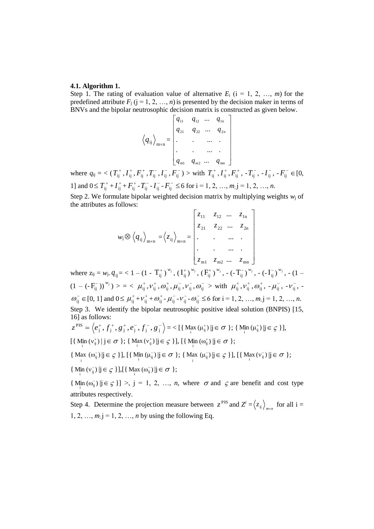#### **4.1. Algorithm 1.**

Step 1. The rating of evaluation value of alternative  $E_i$  ( $i = 1, 2, ..., m$ ) for the predefined attribute  $F_j$  ( $j = 1, 2, ..., n$ ) is presented by the decision maker in terms of BNVs and the bipolar neutrosophic decision matrix is constructed as given below.

$$
\langle q_{ij} \rangle_{\max} = \begin{bmatrix} q_{11} & q_{12} & \cdots & q_{1n} \\ q_{21} & q_{22} & \cdots & q_{2n} \\ \vdots & \vdots & \ddots & \vdots \\ q_{m1} & q_{m2} & \cdots & q_{mn} \end{bmatrix}
$$

where  $q_{ij} = \langle (T_{ij}^+, I_{ij}^+, F_{ij}^+, T_{ij}^-, I_{ij}^-, F_{ij}^-) \rangle$  with  $T_{ij}^+, I_{ij}^+, F_{ij}^+, -T_{ij}^-, -I_{ij}^-, -F_{ij}^- \in [0,$ 1] and  $0 \le T_{ij}^+ + I_{ij}^+ + F_{ij}^- - T_{ij}^- - I_{ij}^- - F_{ij}^- \le 6$  for  $i = 1, 2, ..., m; j = 1, 2, ..., n$ .

Step 2. We formulate bipolar weighted decision matrix by multiplying weights  $w_i$  of the attributes as follows:  $\overline{a}$ 

$$
w_{j} \otimes \langle q_{ij} \rangle_{m \times n} = \langle z_{ij} \rangle_{m \times n} = \begin{bmatrix} z_{11} & z_{12} & \dots & z_{1n} \\ z_{21} & z_{22} & \dots & z_{2n} \\ \vdots & \vdots & \ddots & \vdots \\ z_{m1} & z_{m2} & \dots & z_{mn} \end{bmatrix}
$$

where  $z_{ij} = w_j$ ,  $q_{ij} = 1 - (1 - T_{ij}^+)^{w_j}$ ,  $(T_{ij}^+)^{w_j}$ ,  $(T_{ij}^+)^{w_j}$ ,  $(-T_{ij}^-)^{w_j}$ ,  $(-T_{ij}^-)^{w_j}$ ,  $(-T_{ij}^-)^{w_j}$ ,  $(-T_{ij}^-)$  $(1 - (-F_{ij}^-))^{w_j}$ ) > = <  $\mu_{ij}^+, \nu_{ij}^+, \omega_{ij}^+, \mu_{ij}^-, \nu_{ij}^-, \omega_{ij}^-$  > with  $\mu_{ij}^+, \nu_{ij}^+, \omega_{ij}^+, -\mu_{ij}^-, -\nu_{ij}^-, -\nu_{ij}^ \omega_{ij}^- \in [0, 1]$  and  $0 \le \mu_{ij}^+ + \nu_{ij}^+ + \omega_{ij}^+ - \mu_{ij}^- - \nu_{ij}^- - \omega_{ij}^- \le 6$  for  $i = 1, 2, ..., m; j = 1, 2, ..., n$ . Step 3. We identify the bipolar neutrosophic positive ideal solution (BNPIS) [15, 16] as follows:

$$
z^{PIS} = \langle e_j^+, f_j^+, g_j^+, e_j^-, f_j^-, g_j^- \rangle = \langle [\{ \text{Max } (\mu_{ij}^+) | j \in \sigma \}; \{ \text{Min } (\mu_{ij}^+) | j \in \zeta \} ] \rangle,
$$
  

$$
[\{ \text{Min } (\nu_{ij}^+) | j \in \sigma \}; \{ \text{Max } (\nu_{ij}^+) | j \in \zeta \} ] , [\{ \text{Min } (\omega_{ij}^+) | j \in \sigma \} ;
$$

$$
\{\ \text{Max }(\omega_{ij}^-)\,|j\in\textstyle\mathop{\textstyle\bigcirc}_{i}\}\,]\,,\,[\{\ \text{Min }(\mu_{ij}^-)\,|j\in\textstyle\sigma\ \};\,\{\ \text{Max }(\mu_{ij}^-)\,|j\in\textstyle\mathop{\textstyle\bigcirc}_{i}\,\}\,]\,,\,[\{\ \text{Max }(\nu_{ij}^-)\,|j\in\textstyle\sigma\ \};
$$

 $\label{eq:4.1} \big\{\mathop{\rm Min}_{i}\big(v_{ij}^{-}\big)\,|j\in\textstyle\mathop{\mathcal{G}}\nolimits\,\big\}\big],\big[\big\{\mathop{\rm Max}_{i}\,(\omega_{ij}^{-})\,|j\in\textstyle\mathop{\mathcal{O}}\nolimits\,\big\}\big];$ 

 $\{M_{i}^{(n)}( \omega_{ij}^{-}) | j \in \mathcal{G} \}$  >, j = 1, 2, ..., *n*, where  $\sigma$  and  $\sigma$  are benefit and cost type attributes respectively.

Step 4. Determine the projection measure between  $z^{PIS}$  and  $Z^{i} = \langle z_{ij} \rangle_{max}$  for all i = 1, 2, ...,  $m_1$  j = 1, 2, ..., *n* by using the following Eq.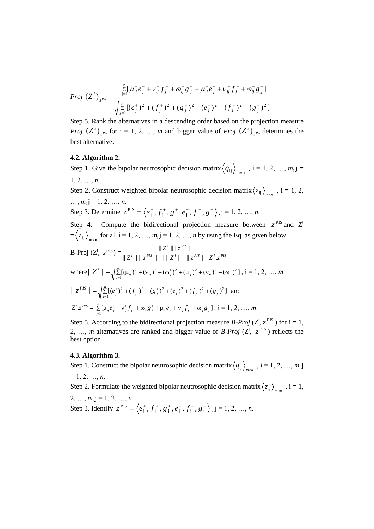$$
Proj (Zi)zPS = \frac{\sum_{j=1}^{n} [\mu_{ij}^{+} e_{j}^{+} + \nu_{ij}^{+} f_{j}^{+} + \omega_{ij}^{+} g_{j}^{+} + \mu_{ij}^{-} e_{j}^{-} + \nu_{ij}^{-} f_{j}^{-} + \omega_{ij}^{-} g_{j}^{-}]}{\sqrt{\sum_{j=1}^{n} [(e_{j}^{+})^{2} + (f_{j}^{+})^{2} + (g_{j}^{+})^{2} + (e_{j}^{-})^{2} + (f_{j}^{-})^{2} + (g_{j}^{-})^{2}]}}
$$

Step 5. Rank the alternatives in a descending order based on the projection measure  $Proj~({Z^{\iota}})_{z^{PIS}}$  $(Z^{i})_{z^{PS}}$  for  $i = 1, 2, ..., m$  and bigger value of *Proj*  $(Z^{i})_{z^{PS}}$  $(Z^i)$ <sub>-PIS</sub> determines the best alternative.

### **4.2. Algorithm 2.**

Step 1. Give the bipolar neutrosophic decision matrix  $\langle q_{ij} \rangle_{m \times n}$ ,  $i = 1, 2, ..., m; j =$ 1, 2, …, *n*.

Step 2. Construct weighted bipolar neutrosophic decision matrix  $\langle z_{ij} \rangle_{max}$ ,  $i = 1, 2,$  $..., m; j = 1, 2, ..., n.$ Step 3. Determine  $z^{PIS} = \langle e_i^+, f_i^+, g_i^+, e_i^-, f_i^-, g_i^+ \rangle$  $\langle e_j^+, f_j^+, g_j^+, e_j^-, f_j^-, g_j^- \rangle$ ; j = 1, 2, ..., *n*.

Step 4. Compute the bidirectional projection measure between  $z^{PIS}$  and  $Z^{i}$  $=\langle z_{ij} \rangle_{m \times n}$  for all  $i = 1, 2, ..., m; j = 1, 2, ..., n$  by using the Eq. as given below.

B-Proj (Z<sup>i</sup>, 
$$
z^{PIS}
$$
) = 
$$
\frac{\|Z^i\| \, \|z^{PIS}\|}{\|Z^i\| \, \|z^{PIS}\| + \|\, |Z^i\| - \|z^{PIS}\| \, |Z^i.z^{PIS}\|}
$$
  
\nwhere  $\|Z^i\| = \sqrt{\sum_{j=1}^n [(\mu^+_j)^2 + (\nu^+_j)^2 + (\omega^+_j)^2 + (\mu^-_j)^2 + (\nu^-_j)^2 + (\omega^-_j)^2]}$ , i = 1, 2, ..., *m*.  
\n $\|z^{PIS}\| = \sqrt{\sum_{j=1}^n [(e_j^+)^2 + (f_j^+)^2 + (g_j^+)^2 + (e_j^-)^2 + (f_j^-)^2 + (g_j^-)^2]}$  and  
\n $Z^i.z^{PIS} = \sum_{j=1}^n [\mu^+_j e_j^+ + \nu^+_j f_j^+ + \omega^+_j g_j^+ + \mu^-_j e_j^- + \nu^-_j f_j^- + \omega^-_j g_j^-]$ , i = 1, 2, ..., *m*.

Step 5. According to the bidirectional projection measure *B-Proj* ( $Z^i$ ,  $z^{PIS}$ ) for  $i = 1$ , 2, ..., *m* alternatives are ranked and bigger value of *B-Proj* ( $Z^i$ ,  $z^{PIS}$ ) reflects the best option.

#### **4.3. Algorithm 3.**

Step 1. Construct the bipolar neutrosophic decision matrix  $\langle q_{ij} \rangle_{m \times n}$ ,  $i = 1, 2, ..., m, j$  $= 1, 2, ..., n$ .

Step 2. Formulate the weighted bipolar neutrosophic decision matrix  $\langle z_{ij} \rangle_{m \times n}$ ,  $i = 1$ ,  $2, ..., m; j = 1, 2, ..., n.$ Step 3. Identify  $z^{PIS} = \langle e_i^+, f_i^+, g_i^+, e_i^-, f_i^-, g_i^+ \rangle$  $e_j^+, f_j^+, g_j^+, e_j^-, f_j^-, g_j^-\rangle$ ,  $j = 1, 2, ..., n$ .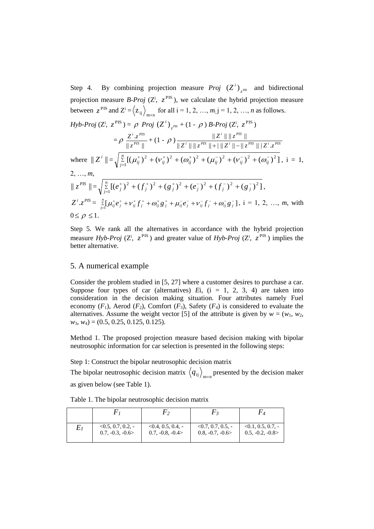Step 4. By combining projection measure *Proj*  $(Z^{\prime})_{z^{PS}}$  $(Z^i)$ <sub>rus</sub> and bidirectional projection measure *B-Proj* ( $Z^i$ ,  $z^{PIS}$ ), we calculate the hybrid projection measure between  $z^{PIS}$  and  $Z^{i} = \langle z_{ij} \rangle_{m \times n}$  for all  $i = 1, 2, ..., m; j = 1, 2, ..., n$  as follows.

$$
Hyb\text{-}Proj (Z^i, z^{\text{PIS}}) = \rho \text{ Proj } (Z^i)_{z^{\text{PS}}} + (1 - \rho) \text{ B\text{-}Proj} (Z^i, z^{\text{PIS}})
$$
\n
$$
= \rho \frac{Z^i \cdot z^{\text{PIS}}}{\|z^{\text{PS}}\|} + (1 - \rho) \frac{\|Z^i\| \|z^{\text{PIS}}\|}{\|Z^i\| \|z^{\text{PIS}}\| + \|Z^i\| - \|z^{\text{PIS}}\| \|Z^i z^{\text{PIS}}\|}
$$
\nwhere  $\|Z^i\| = \sqrt{\sum_{j=1}^n [(\mu_{ij}^+)^2 + (\nu_{ij}^+)^2 + (\mu_{ij}^-)^2 + (\mu_{ij}^-)^2 + (\nu_{ij}^-)^2 + (\omega_{ij}^-)^2]}$ , i = 1,  
\n2, ..., m,  
\n $\|z^{\text{PIS}}\| = \sqrt{\sum_{j=1}^n [(e_j^+)^2 + (f_j^+)^2 + (g_j^+)^2 + (e_j^-)^2 + (f_j^-)^2 + (g_j^-)^2]}$ ,  
\n $Z^i \cdot z^{\text{PIS}} = \sum_{j=1}^n [\mu_{ij}^+ e_j^+ + \nu_{ij}^+ f_j^+ + \omega_{ij}^+ g_j^+ + \mu_{ij}^- e_j^- + \nu_{ij}^- f_j^- + \omega_{ij}^- g_j^-]$ , i = 1, 2, ..., m, with  
\n $0 \le \rho \le 1$ .

Step 5. We rank all the alternatives in accordance with the hybrid projection measure *Hyb-Proj* ( $Z^i$ ,  $z^{PIS}$ ) and greater value of *Hyb-Proj* ( $Z^i$ ,  $z^{PIS}$ ) implies the better alternative.

# 5. A numerical example

Consider the problem studied in [5, 27] where a customer desires to purchase a car. Suppose four types of car (alternatives)  $Ei$ ,  $(i = 1, 2, 3, 4)$  are taken into consideration in the decision making situation. Four attributes namely Fuel economy  $(F_1)$ , Aerod  $(F_2)$ , Comfort  $(F_3)$ , Safety  $(F_4)$  is considered to evaluate the alternatives. Assume the weight vector [5] of the attribute is given by  $w = (w_1, w_2,$ *w*3, *w*4) = (0.5, 0.25, 0.125, 0.125).

Method 1. The proposed projection measure based decision making with bipolar neutrosophic information for car selection is presented in the following steps:

Step 1: Construct the bipolar neutrosophic decision matrix

The bipolar neutrosophic decision matrix  $\langle q_{ij} \rangle_{m \times n}$  presented by the decision maker as given below (see Table 1).

Table 1. The bipolar neutrosophic decision matrix

|         |                     | ۲,                   |                      |                     |
|---------|---------------------|----------------------|----------------------|---------------------|
| $E_{I}$ | $<0.5, 0.7, 0.2, -$ | $< 0.4, 0.5, 0.4, -$ | $< 0.7, 0.7, 0.5, -$ | $<0.1, 0.5, 0.7, -$ |
|         | $0.7, -0.3, -0.6$   | $0.7, -0.8, -0.4$    | $0.8, -0.7, -0.6$    | $0.5, -0.2, -0.8$   |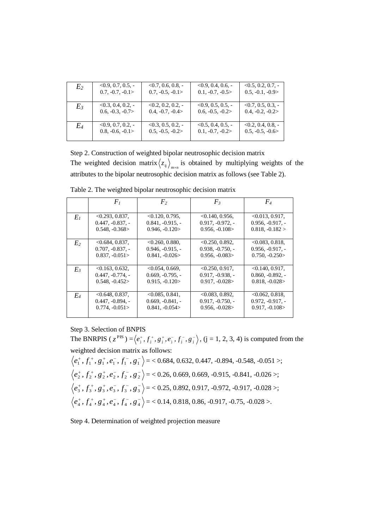| E <sub>2</sub> | $<0.9, 0.7, 0.5, -$  | $0.7, 0.6, 0.8, -$  | $0.9, 0.4, 0.6, -$  | $<0.5, 0.2, 0.7, -$  |
|----------------|----------------------|---------------------|---------------------|----------------------|
|                | $0.7, -0.7, -0.1$    | $0.7, -0.5, -0.1$   | $0.1, -0.7, -0.5$   | $0.5, -0.1, -0.9$    |
| $E_3$          | $< 0.3, 0.4, 0.2, -$ | $0.2, 0.2, 0.2, -$  | $<0.9, 0.5, 0.5, -$ | $< 0.7, 0.5, 0.3, -$ |
|                | $0.6, -0.3, -0.7$    | $0.4, -0.7, -0.4$   | $0.6, -0.5, -0.2$   | $0.4, -0.2, -0.2$    |
| E4             | $<0.9, 0.7, 0.2, -$  | $<0.3, 0.5, 0.2, -$ | $<0.5, 0.4, 0.5, -$ | $< 0.2, 0.4, 0.8, -$ |
|                | $0.8, -0.6, -0.1$    | $0.5, -0.5, -0.2$   | $0.1, -0.7, -0.2$   | $0.5, -0.5, -0.6$    |

Step 2. Construction of weighted bipolar neutrosophic decision matrix The weighted decision matrix  $\langle z_{ij} \rangle_{\text{max}}$  is obtained by multiplying weights of the attributes to the bipolar neutrosophic decision matrix as follows (see Table 2).

|                | $F_I$              | F <sub>2</sub>     | $F_3$              | $F_{4}$            |
|----------------|--------------------|--------------------|--------------------|--------------------|
|                | < 0.293, 0.837,    | < 0.120, 0.795,    | < 0.140, 0.956,    | $<0.013, 0.917$ ,  |
| $E_I$          | $0.447, -0.837, -$ | $0.841, -0.915, -$ | $0.917, -0.972, -$ | $0.956, -0.917, -$ |
|                | $0.548, -0.368$    | $0.946, -0.120$    | $0.956, -0.108$    | $0.818, -0.182 >$  |
|                |                    |                    |                    |                    |
| E <sub>2</sub> | < 0.684, 0.837,    | < 0.260, 0.880,    | 0.250, 0.892,      | < 0.083, 0.818.    |
|                | $0.707, -0.837, -$ | $0.946, -0.915, -$ | $0.938, -0.750, -$ | $0.956, -0.917, -$ |
|                | $0.837, -0.051$    | $0.841, -0.026$    | $0.956, -0.083$    | $0.750, -0.250$    |
|                |                    |                    |                    |                    |
| $E_3$          | < 0.163, 0.632,    | < 0.054, 0.669,    | <0.250, 0.917,     | $< 0.140, 0.917$ , |
|                | $0.447, -0.774, -$ | $0.669, -0.795, -$ | $0.917, -0.938$ .  | $0.860, -0.892, -$ |
|                | $0.548, -0.452$    | $0.915, -0.120$    | $0.917, -0.028$    | $0.818, -0.028$    |
|                |                    |                    |                    |                    |
| $E_4$          | < 0.648, 0.837,    | < 0.085, 0.841,    | < 0.083, 0.892.    | <0.062, 0.818      |
|                | $0.447, -0.894, -$ | $0.669, -0.841, -$ | $0.917, -0.750, -$ | $0.972, -0.917, -$ |
|                | $0.774, -0.051$    | $0.841, -0.054$    | $0.956, -0.028$    | $0.917, -0.108$    |
|                |                    |                    |                    |                    |

Table 2. The weighted bipolar neutrosophic decision matrix

Step 3. Selection of BNPIS

The BNRPIS ( $z^{PIS}$ ) =  $\langle e_j^+, f_j^+, g_j^+, e_j^-, f_j^-, g_j^-\rangle$ , (j = 1, 2, 3, 4) is computed from the weighted decision matrix as follows:

$$
\langle e_1^+, f_1^+, g_1^+, e_1^-, f_1^-, g_1^- \rangle = \langle 0.684, 0.632, 0.447, -0.894, -0.548, -0.051 \rangle;
$$
  

$$
\langle e_2^+, f_2^+, g_2^+, e_2^-, f_2^-, g_2^- \rangle = \langle 0.26, 0.669, 0.669, -0.915, -0.841, -0.026 \rangle;
$$
  

$$
\langle e_3^+, f_3^+, g_3^+, e_3^-, f_3^-, g_3^- \rangle = \langle 0.25, 0.892, 0.917, -0.972, -0.917, -0.028 \rangle;
$$
  

$$
\langle e_4^+, f_4^+, g_4^+, e_4^-, f_4^-, g_4^- \rangle = \langle 0.14, 0.818, 0.86, -0.917, -0.75, -0.028 \rangle.
$$

Step 4. Determination of weighted projection measure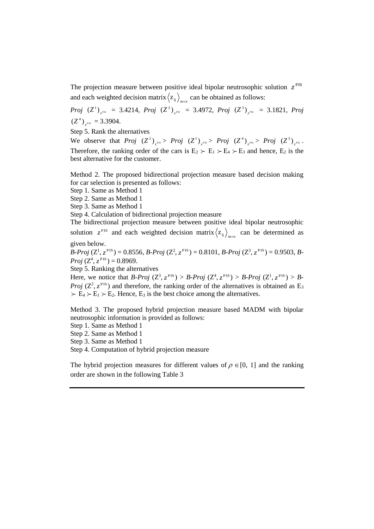The projection measure between positive ideal bipolar neutrosophic solution  $z^{PIS}$ and each weighted decision matrix  $\langle z_{ij} \rangle_{m \times n}$  can be obtained as follows:

 $Proj$   $(Z^1)_{z^{PS}} = 3.4214$ ,  $Proj$   $(Z^2)_{z^{PS}} = 3.4972$ ,  $Proj$   $(Z^3)_{z^{PS}} = 3.1821$ ,  $Proj$  $(Z^4)_{z^{PIS}} = 3.3904.$ 

Step 5. Rank the alternatives

We observe that  $Proj (Z^2)_{z^{PS}} > Proj (Z^1)_{z^{PS}} > Proj (Z^4)_{z^{PS}} > Proj (Z^4)_{z^{PS}} > Proj (Z^3)_{z^{PS}}$ . Therefore, the ranking order of the cars is  $E_2 \succ E_1 \succ E_4 \succ E_3$  and hence,  $E_2$  is the best alternative for the customer.

Method 2. The proposed bidirectional projection measure based decision making for car selection is presented as follows:

Step 1. Same as Method 1

Step 2. Same as Method 1

Step 3. Same as Method 1

Step 4. Calculation of bidirectional projection measure

The bidirectional projection measure between positive ideal bipolar neutrosophic solution  $z^{PIS}$  and each weighted decision matrix  $\langle z_{ij} \rangle_{m \times n}$  can be determined as

given below.

 $B\text{-}Proj\,(Z^1, z^{\text{PIS}}) = 0.8556, B\text{-}Proj\,(Z^2, z^{\text{PIS}}) = 0.8101, B\text{-}Proj\,(Z^3, z^{\text{PIS}}) = 0.9503, B\text{-}P^2$ *Proj*  $(Z^4, z^{\text{PIS}}) = 0.8969$ .

Step 5. Ranking the alternatives

Here, we notice that *B-Proj*  $(Z^3, z^{PIS}) > B$ -*Proj*  $(Z^4, z^{PIS}) > B$ -*Proj*  $(Z^1, z^{PIS}) > B$ -*Proj* ( $Z^2$ ,  $z^{PIS}$ ) and therefore, the ranking order of the alternatives is obtained as  $E_3$  $\succ E_4 \succ E_1 \succ E_2$ . Hence,  $E_3$  is the best choice among the alternatives.

Method 3. The proposed hybrid projection measure based MADM with bipolar neutrosophic information is provided as follows:

Step 1. Same as Method 1

Step 2. Same as Method 1

Step 3. Same as Method 1

Step 4. Computation of hybrid projection measure

The hybrid projection measures for different values of  $\rho \in [0, 1]$  and the ranking order are shown in the following Table 3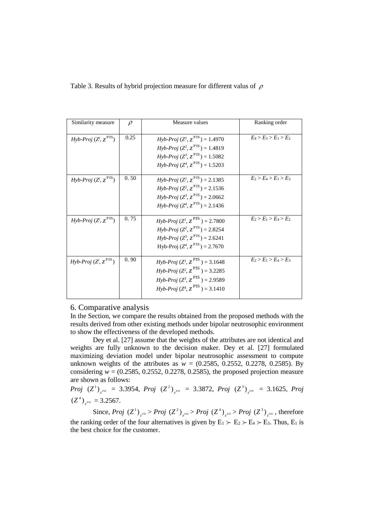|  |  |  |  | Table 3. Results of hybrid projection measure for different valus of $\rho$ |  |  |  |
|--|--|--|--|-----------------------------------------------------------------------------|--|--|--|
|--|--|--|--|-----------------------------------------------------------------------------|--|--|--|

| Similarity measure               | $\rho$ | Measure values                                                                                                                                                                                                                  | Ranking order           |
|----------------------------------|--------|---------------------------------------------------------------------------------------------------------------------------------------------------------------------------------------------------------------------------------|-------------------------|
| Hyb-Proj $(Z^i, z^{\text{PIS}})$ | 0.25   | $Hyb\text{-}Proj (Z^I, z^{\text{PIS}}) = 1.4970$<br>$Hv^b$ -Proj (Z <sup>2</sup> , $z^{PIS}$ ) = 1.4819<br>$Hyb\text{-}Proj (Z^3, z^{\text{PIS}}) = 1.5082$<br>$Hyb\text{-}Proj(Z^4, z^{\text{PIS}}) = 1.5203$                  | $E_4 > E_3 > E_1 > E_2$ |
| Hyb-Proj $(Z^i, z^{PIS})$        | 0.50   | $Hy^b$ -Proj (Z <sup>1</sup> , z <sup>PIS</sup> ) = 2.1385<br>$Hyb\text{-}Proj (Z^2, z^{\text{PIS}}) = 2.1536$<br>$Hv^b$ -Proj $(Z^3, z^{\text{PIS}}) = 2.0662$<br>$Hyb\text{-}Proj (Z^4, z^{\text{PIS}}) = 2.1436$             | $E_2 > E_4 > E_1 > E_3$ |
| Hyb-Proj $(Z^i, z^{\text{PIS}})$ | 0.75   | $Hv^b$ -Proj (Z <sup>1</sup> , Z <sup>PIS</sup> ) = 2.7800<br>$Hyb\text{-}Proj (Z^2, z^{\text{PIS}}) = 2.8254$<br>$Hy\mathit{b-Proj} (Z^3, z^{\text{PIS}}) = 2.6241$<br>Hyb-Proj $(Z^4, z^{\text{PIS}}) = 2.7670$               | $E_2 > E_1 > E_4 > E_2$ |
| Hyb-Proj $(Z^i, z^{\text{PIS}})$ | 0.90   | $Hv^b$ -Proj (Z <sup>1</sup> , Z <sup>PIS</sup> ) = 3.1648<br><i>Hyb-Proj</i> $(Z^2, z^{\text{PIS}}) = 3.2285$<br>$Hy\bar{b}$ -Proj ( $Z^3$ , $Z^{\text{PIS}}$ ) = 2.9589<br>$Hv^b$ -Proj ( $Z^4$ , $Z^{\text{PIS}}$ ) = 3.1410 | $E_2 > E_1 > E_4 > E_3$ |

#### 6. Comparative analysis

In the Section, we compare the results obtained from the proposed methods with the results derived from other existing methods under bipolar neutrosophic environment to show the effectiveness of the developed methods.

Dey et al. [27] assume that the weights of the attributes are not identical and weights are fully unknown to the decision maker. Dey et al. [27] formulated maximizing deviation model under bipolar neutrosophic assessment to compute unknown weights of the attributes as  $w = (0.2585, 0.2552, 0.2278, 0.2585)$ . By considering  $w = (0.2585, 0.2552, 0.2278, 0.2585)$ , the proposed projection measure are shown as follows:

*Proj*  $(Z^1)_{z^{PS}} = 3.3954$ , *Proj*  $(Z^2)_{z^{PS}} = 3.3872$ , *Proj*  $(Z^3)_{z^{PS}} = 3.1625$ , *Proj*  $(Z^4)$ <sub>z</sub><sup>*PIS*</sup></sub> = 3.2567.

Since, *Proj*  $(Z^1)_{z^{PS}} > Proj (Z^2)_{z^{PS}} > Proj (Z^4)_{z^{PS}} > Proj (Z^3)_{z^{PS}}$ , therefore the ranking order of the four alternatives is given by  $E_1 \succ E_2 \succ E_4 \succ E_3$ . Thus,  $E_1$  is the best choice for the customer.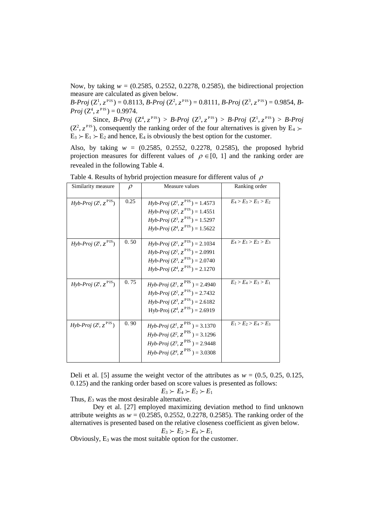Now, by taking *w* = (0.2585, 0.2552, 0.2278, 0.2585), the bidirectional projection measure are calculated as given below.

 $B\text{-}Proj\,(Z^1, z^{\text{PIS}}) = 0.8113, B\text{-}Proj\,(Z^2, z^{\text{PIS}}) = 0.8111, B\text{-}Proj\,(Z^3, z^{\text{PIS}}) = 0.9854, B\text{-}P^2$ *Proj*  $(Z^4, z^{\text{PIS}}) = 0.9974$ .

Since, *B-Proj*  $(Z^4, z^{PIS}) > B$ -*Proj*  $(Z^3, z^{PIS}) > B$ -*Proj*  $(Z^1, z^{PIS}) > B$ -*Proj*  $(Z^2, z^{\text{PIS}})$ , consequently the ranking order of the four alternatives is given by E<sub>4</sub>  $\succ$  $E_3 \rightarrow E_1 \rightarrow E_2$  and hence,  $E_4$  is obviously the best option for the customer.

Also, by taking  $w = (0.2585, 0.2552, 0.2278, 0.2585)$ , the proposed hybrid projection measures for different values of  $\rho \in [0, 1]$  and the ranking order are revealed in the following Table 4.

| Similarity measure               | $\rho$ | Measure values                                             | Ranking order           |
|----------------------------------|--------|------------------------------------------------------------|-------------------------|
|                                  | 0.25   | <i>Hyb-Proj</i> $(Z^l, z^{\text{PIS}}) = 1.4573$           | $E_4 > E_3 > E_1 > E_2$ |
| Hyb-Proj $(Z^i, z^{\text{PIS}})$ |        | $Hy\mathit{b-Proj} (Z^2, z^{\text{PIS}}) = 1.4551$         |                         |
|                                  |        | $Hy\mathit{b-Proj} (Z^3, z^{\text{PIS}}) = 1.5297$         |                         |
|                                  |        | $Hyb\text{-}Proj (Z^4, z^{\text{PIS}}) = 1.5622$           |                         |
| Hyb-Proj $(Z^i, z^{\text{PIS}})$ | 0.50   | $Hy^b$ -Proj $(Z^l, z^{\text{PIS}}) = 2.1034$              | $E_4 > E_1 > E_2 > E_3$ |
|                                  |        | $Hy^b$ -Proj ( $Z^2$ , $Z^{\text{PIS}}$ ) = 2.0991         |                         |
|                                  |        | $Hy^b$ -Proj ( $Z^3$ , $Z^{\text{PIS}}$ ) = 2.0740         |                         |
|                                  |        | $Hv^b$ -Proj $(Z^4, z^{\text{PIS}}) = 2.1270$              |                         |
| Hyb-Proj $(Z^i, z^{\text{PIS}})$ | 0.75   | $Hy^b$ -Proj $(Z^l, z^{\text{PIS}}) = 2.4940$              | $E_2 > E_4 > E_3 > E_1$ |
|                                  |        | $Hy^b$ -Proj (Z <sup>2</sup> , z <sup>PIS</sup> ) = 2.7432 |                         |
|                                  |        | $Hy\mathit{b-Proj} (Z^3, z^{\text{PIS}}) = 2.6182$         |                         |
|                                  |        | Hyb-Proj $(Z^4, z^{\text{PIS}}) = 2.6919$                  |                         |
| Hyb-Proj $(Z^i, z^{\text{PIS}})$ | 0.90   | <i>Hyb-Proj</i> $(Z^l, Z^{PIS}) = 3.1370$                  | $E_1 > E_2 > E_4 > E_3$ |
|                                  |        | $Hy\bar{b}$ -Proj ( $Z^2$ , $Z^{\text{PIS}}$ ) = 3.1296    |                         |
|                                  |        | $Hyb\text{-}Proj (Z^3, z^{\text{PIS}}) = 2.9448$           |                         |
|                                  |        | $Hv^b$ -Proj ( $Z^4$ , $Z^{\text{PIS}}$ ) = 3.0308         |                         |
|                                  |        |                                                            |                         |

Table 4. Results of hybrid projection measure for different valus of  $\rho$ 

Deli et al. [5] assume the weight vector of the attributes as  $w = (0.5, 0.25, 0.125, 0.125)$ 0.125) and the ranking order based on score values is presented as follows:

$$
E_3 \succ E_4 \succ E_2 \succ E_1
$$

Thus,  $E_3$  was the most desirable alternative.

Dey et al. [27] employed maximizing deviation method to find unknown attribute weights as  $w = (0.2585, 0.2552, 0.2278, 0.2585)$ . The ranking order of the alternatives is presented based on the relative closeness coefficient as given below.

$$
E_3 \succ E_2 \succ E_4 \succ E_1
$$

Obviously,  $E_3$  was the most suitable option for the customer.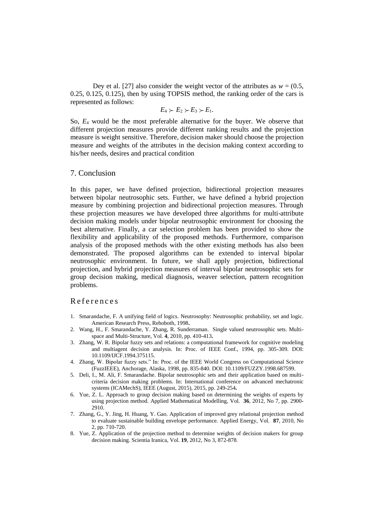Dey et al. [27] also consider the weight vector of the attributes as  $w = (0.5,$ 0.25, 0.125, 0.125), then by using TOPSIS method, the ranking order of the cars is represented as follows:

$$
E_4 \succ E_2 \succ E_3 \succ E_1.
$$

So, *E*<sup>4</sup> would be the most preferable alternative for the buyer. We observe that different projection measures provide different ranking results and the projection measure is weight sensitive. Therefore, decision maker should choose the projection measure and weights of the attributes in the decision making context according to his/her needs, desires and practical condition

## 7. Conclusion

In this paper, we have defined projection, bidirectional projection measures between bipolar neutrosophic sets. Further, we have defined a hybrid projection measure by combining projection and bidirectional projection measures. Through these projection measures we have developed three algorithms for multi-attribute decision making models under bipolar neutrosophic environment for choosing the best alternative. Finally, a car selection problem has been provided to show the flexibility and applicability of the proposed methods. Furthermore, comparison analysis of the proposed methods with the other existing methods has also been demonstrated. The proposed algorithms can be extended to interval bipolar neutrosophic environment. In future, we shall apply projection, bidirectional projection, and hybrid projection measures of interval bipolar neutrosophic sets for group decision making, medical diagnosis, weaver selection, pattern recognition problems.

### R e f e r e n c e s

- 1. Smarandache, F. A unifying field of logics. Neutrosophy: Neutrosophic probability, set and logic. American Research Press, Rehoboth, 1998**.**
- 2. Wang, H., F. Smarandache, Y. Zhang, R. Sunderraman. Single valued neutrosophic sets. Multispace and Multi-Structure, Vol. **4**, 2010, pp. 410-413**.**
- 3. Zhang, W. R. Bipolar fuzzy sets and relations: a computational framework for cognitive modeling and multiagent decision analysis. In: Proc. of IEEE Conf., 1994, pp. 305-309. DOI: [10.1109/IJCF.1994.375115.](https://doi.org/10.1109/IJCF.1994.375115)
- 4. Zhang, W. Bipolar fuzzy sets." In: Proc. of the IEEE World Congress on Computational Science (FuzzIEEE), Anchorage, Alaska, 1998, pp. 835-840. DOI: [10.1109/FUZZY.1998.687599.](https://doi.org/10.1109/FUZZY.1998.687599)
- 5. Deli, I., M. Ali, F. Smarandache. Bipolar neutrosophic sets and their application based on multicriteria decision making problems. In: International conference on advanced mechatronic systems (ICAMechS), IEEE (August, 2015), 2015, pp. 249-254**.**
- 6. Yue, Z. L. Approach to group decision making based on determining the weights of experts by using projection method. Applied Mathematical Modelling, Vol. **36**, 2012, No 7, pp. 2900- 2910.
- 7. Zhang, G., Y. Jing, H. Huang, Y. Gao. Application of improved grey relational projection method to evaluate sustainable building envelope performance. Applied Energy, Vol. **87**, 2010, No 2, pp. 710-720.
- 8. Yue, Z. Application of the projection method to determine weights of decision makers for group decision making. Scientia Iranica, Vol. **19**, 2012, No 3, 872-878.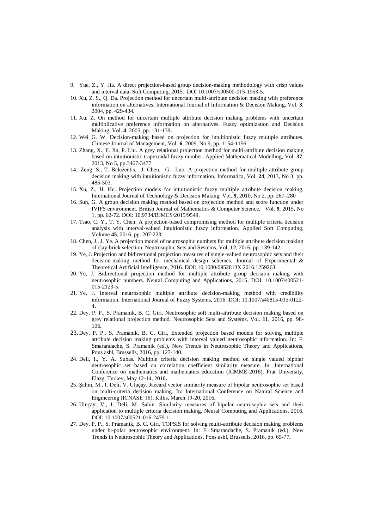- 9. Yue, Z., Y. Jia. A direct projection-based group decision-making methodology with crisp values and interval data. Soft Computing, 2015. DOI 10.1007/s00500-015-1953-5.
- 10. Xu, Z. S., Q. Da. Projection method for uncertain multi-attribute decision making with preference information on alternatives. International Journal of Information & Decision Making, Vol. **3**, 2004, pp. 429-434**.**
- 11. Xu, Z. On method for uncertain multiple attribute decision making problems with uncertain multiplicative preference information on alternatives. Fuzzy optimization and Decision Making, Vol. **4**, 2005, pp. 131-139**.**
- 12. Wei G. W. Decision-making based on projection for intuitionistic fuzzy multiple attributes. Chinese Journal of Management, Vol. **6**, 2009, No 9, pp. 1154-1156.
- 13. Zhang, X., F. Jin, P. Liu. A grey relational projection method for multi-attribute decision making based on intuitionistic trapezoidal fuzzy number. Applied Mathematical Modelling, Vol. **37**, 2013, No 5, pp.3467-3477.
- 14. [Zeng, S.,](http://content.iospress.com/search?q=author%3A%28%22Zeng,%20Shouzhen%22%29) T. [Baležentis,](http://content.iospress.com/search?q=author%3A%28%22Baležentis,%20Tomas%22%29) J. [Chen,](http://content.iospress.com/search?q=author%3A%28%22Chen,%20Ji%22%29) G. [Luo. A](http://content.iospress.com/search?q=author%3A%28%22Luo,%20Gangfei%22%29) projection method for multiple attribute group decision making with intuitionistic fuzzy information. [Informatica,](http://content.iospress.com/journals/informatica) Vol. **24**, 2013, No 3, pp. 485-503.
- 15. Xu, Z., H. Hu. Projection models for intuitionistic fuzzy multiple attribute decision making. International Journal of Technology & Decision Making, Vol. **9**, 2010, No 2, pp. 267–280
- 16. Sun, G. A group decision making method based on projection method and score function under IVIFS environment. British Journal of Mathematics & Computer Science, Vol. **9**, 2015, No 1, pp. 62-72. DOI: 10.9734/BJMCS/2015/9549.
- 17. Tsao, C. Y., T. Y. Chen. A projection-based compromising method for multiple criteria decision analysis with interval-valued intuitionistic fuzzy information. Applied Soft Computing, Volume **45**, 2016, pp. 207-223.
- 18. Chen, J., J. Ye. A projection model of neutrosophic numbers for multiple attribute decision making of clay-brick selection. Neutrosophic Sets and Systems, Vol. **12**, 2016, pp. 139-142**.**
- 19. Ye, J. Projection and bidirectional projection measures of single-valued neutrosophic sets and their decision-making method for mechanical design schemes. Journal of Experimental & Theoretical Artificial Intelligence, 2016. DOI: 10.1080/0952813X.2016.1259263.
- 20. Ye, J. Bidirectional projection method for multiple attribute group decision making with neutrosophic numbers. Neural Computing and Applications, 2015. DOI: 10.1007/s00521- 015-2123-5.
- 21. Ye, J. Interval neutrosophic multiple attribute decision-making method with credibility information. International Journal of Fuzzy Systems, 2016. DOI: 10.1007/s40815-015-0122- 4**.**
- 22. Dey, P. P., S. Pramanik, B. C. Giri. Neutrosophic soft multi-attribute decision making based on grey relational projection method. Neutrosophic Sets and Systems, Vol. **11**, 2016, pp. 98- 106**.**
- 23. Dey, P. P., S. Pramanik, B. C. Giri, Extended projection based models for solving multiple attribute decision making problems with interval valued neutrosophic information. In: F. Smarandache, S. Pramanik (ed.), New Trends in Neutrosophic Theory and Applications, Pons asbl, Brussells, 2016, pp. 127-140.
- 24. Deli, I., Y. A. Subas. Multiple criteria decision making method on single valued bipolar neutrosophic set based on correlation coefficient similarity measure. In: International Conference on mathematics and mathematics education (ICMME-2016), Frat University, Elazg, Turkey, May 12-14, 2016**.**
- 25. Şahin, M., I. Deli, V. Uluçay. Jaccard vector similarity measure of bipolar neutrosophic set based on multi-criteria decision making. In: International Conference on Natural Science and Engineering (ICNASE'16), Killis, March 19-20, 2016**.**
- 26. Uluçay, V., I. Deli, M. Şahin. Similarity measures of bipolar neutrosophic sets and their application to multiple criteria decision making. Neural Computing and Applications, 2016. DOI: 10.1007/s00521-016-2479-1**.**
- 27. Dey, P. P., S. Pramanik, B. C. Giri. TOPSIS for solving multi-attribute decision making problems under bi-polar neutrosophic environment. In: F. Smarandache, S. Pramanik (ed.), New Trends in Neutrosophic Theory and Applications, Pons asbl, Brussells, 2016, pp. 65-77**.**